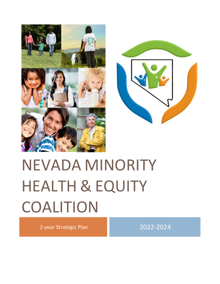



# NEVADA MINORITY HEALTH & EQUITY COALITION

2-year Strategic Plan 2022-2024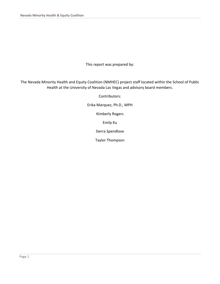This report was prepared by:

The Nevada Minority Health and Equity Coalition (NMHEC) project staff located within the School of Public Health at the University of Nevada Las Vegas and advisory board members.

Contributors:

Erika Marquez, Ph.D., MPH

Kimberly Rogers

Emily Ku

Sierra Spendlove

Taylor Thompson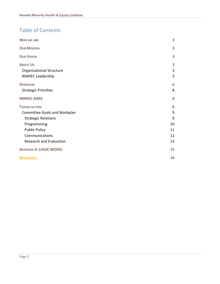# Table of Contents

| <b>WHO WE ARE</b>               | 3  |
|---------------------------------|----|
| <b>OUR MISSION</b>              | 3  |
| <b>OUR VISION</b>               | 3  |
| <b>ABOUT US</b>                 | 3  |
| <b>Organizational Structure</b> | 3  |
| <b>NMHEC Leadership</b>         | 5  |
| <b>OVERVIEW</b>                 | 6  |
| <b>Strategic Priorities</b>     | 8  |
| <b>NMHEC AIMS</b>               | 8  |
| <b>TAKING ACTION</b>            | 8  |
| Committee Goals and Workplan    | 9  |
| <b>Strategic Relations</b>      | 9  |
| Programming                     | 10 |
| <b>Public Policy</b>            | 11 |
| Communications                  | 12 |
| <b>Research and Evaluation</b>  | 13 |
| <b>APPENDIX A: LOGIC MODEL</b>  | 15 |
| <b>REFERENCES</b>               | 16 |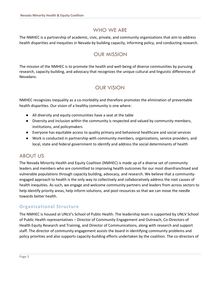# WHO WE ARE

<span id="page-3-1"></span><span id="page-3-0"></span>The NMHEC is a partnership of academic, civic, private, and community organizations that aim to address health disparities and inequities in Nevada by building capacity, informing policy, and conducting research.

# OUR MISSION

<span id="page-3-2"></span>The mission of the NMHEC is to promote the health and well-being of diverse communities by pursuing research, capacity building, and advocacy that recognizes the unique cultural and linguistic differences of Nevadans.

# OUR VISION

NMHEC recognizes inequality as a co-morbidity and therefore promotes the elimination of preventable health disparities. Our vision of a healthy community is one where:

- All diversity and equity communities have a seat at the table
- Diversity and inclusion within the community is respected and valued by community members, institutions, and policymakers
- Everyone has equitable access to quality primary and behavioral healthcare and social services
- Work is conducted in partnership with community members, organizations, service providers, and local, state and federal government to identify and address the social determinants of health

# <span id="page-3-3"></span>ABOUT US

The Nevada Minority Health and Equity Coalition (NMHEC) is made up of a diverse set of community leaders and members who are committed to improving health outcomes for our most disenfranchised and vulnerable populations through capacity building, advocacy, and research. We believe that a communityengaged approach to health is the only way to collectively and collaboratively address the root causes of health inequities. As such, we engage and welcome community partners and leaders from across sectors to help identify priority areas, help inform solutions, and pool resources so that we can move the needle towards better health.

# <span id="page-3-4"></span>**Organizational Structure**

The NMHEC is housed at UNLV's School of Public Health. The leadership team is supported by UNLV School of Public Health representatives – Director of Community Engagement and Outreach, Co-Directors of Health Equity Research and Training, and Director of Communications, along with research and support staff. The director of community engagement assists the board in identifying community problems and policy priorities and also supports capacity-building efforts undertaken by the coalition. The co-directors of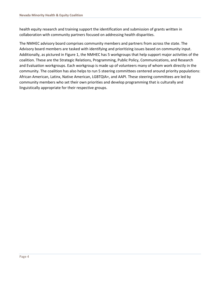health equity research and training support the identification and submission of grants written in collaboration with community partners focused on addressing health disparities.

The NMHEC advisory board comprises community members and partners from across the state. The Advisory board members are tasked with identifying and prioritizing issues based on community input. Additionally, as pictured in Figure 1, the NMHEC has 5 workgroups that help support major activities of the coalition. These are the Strategic Relations, Programming, Public Policy, Communications, and Research and Evaluation workgroups. Each workgroup is made up of volunteers many of whom work directly in the community. The coalition has also helps to run 5 steering committees centered around priority populations: African American, Latinx, Native American, LGBTQIA+, and AAPI. These steering committees are led by community members who set their own priorities and develop programming that is culturally and linguistically appropriate for their respective groups.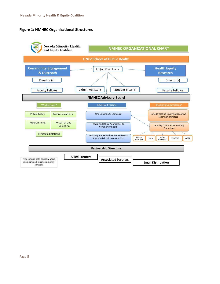#### **Figure 1: NMHEC Organizational Structures**

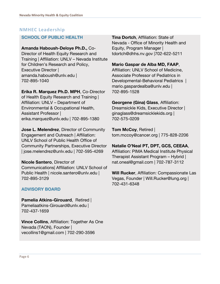# <span id="page-6-0"></span>**NMHEC Leadership**

#### **SCHOOL OF PUBLIC HEALTH**

#### **Amanda Haboush-Deloye Ph.D.,** Co-

Director of Health Equity Research and Training | Affiliation: UNLV – Nevada Institute for Children's Research and Policy, Executive Director | amanda.haboush@unlv.edu | 702-895-1040

# **Erika R. Marquez Ph.D. MPH**, Co-Director

of Health Equity Research and Training | Affiliation: UNLV – Department of Environmental & Occupational Health, Assistant Professor | erika.marquez@unlv.edu | 702-895-1380

**Jose L. Melendrez**, Director of Community Engagement and Outreach | Affiliation: UNLV School of Public Health Office of Community Partnerships, Executive Director | jose.melendrez@unlv.edu | 702-595-4269

**Nicole Santero**, Director of Communications| Affiliation: UNLV School of Public Health | nicole.santero@unlv.edu | 702-895-3129

# **ADVISORY BOARD**

**Pamelia Atkins-Girouard**, Retired | Pameliaatkins-Girouard@unlv.edu | 702-437-1659

**Vince Collins**, Affiliation: Together As One Nevada (TAON), Founder | vecollins1@gmail.com | 702-290-3596

**Tina Dortch**, Affiliation: State of Nevada - Office of Minority Health and Equity, Program Manager | tdortch@dhhs.nv.gov |702-622-5211

#### **Mario Gaspar de Alba MD, FAAP**,

Affiliation: UNLV School of Medicine, Associate Professor of Pediatrics in Developmental-Behavioral Pediatrics | mario.gaspardealba@unlv.edu | 702-895-1528

**Georgene (Gina) Glass**, Affiliation: Dreamsickle Kids, Executive Director | ginaglass@dreamsicklekids.org | 702-575-0209

**Tom McCoy**, Retired | tom.mccoy@cancer.org | 775-828-2206

**Natalie O'Neal PT, DPT, GCS, CEEAA**, Affiliation: PIMA Medical Institute Physical Therapist Assistant Program – Hybrid | nat.oneal@gmail.com | 702-787-3112

**Will Rucker**, Affiliation: Compassionate Las Vegas, Founder | Will.Rucker@lung.org | 702-431-6348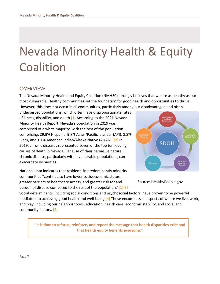# Nevada Minority Health & Equity **Coalition**

# <span id="page-7-0"></span>**OVERVIEW**

The Nevada Minority Health and Equity Coalition (NMHEC) strongly believes that we are as healthy as our most vulnerable. Healthy communities set the foundation for good health and opportunities to thrive. However, this does not occur in all communities, particularly among our disadvantaged and often

underserved populations, which often have disproportionate rates of illness, disability, and death.[1] According to the 2021 Nevada Minority Health Report, Nevada's population in 2019 was comprised of a white majority, with the rest of the population comprising: 29.9% Hispanic, 9.8% Asian/Pacific Islander (API), 8.8% Black, and 1.1% American Indian/Alaska Native (AI/AN). [2] In 2019, chronic diseases represented seven of the top ten leading causes of death in Nevada. Because of their pervasive nature, chronic disease, particularly within vulnerable populations, can exacerbate disparities.

National data indicates that residents in predominantly minority communities "continue to have lower socioeconomic status, greater barriers to healthcare access, and greater risk for and burden of disease compared to the rest of the population." $[1][3]$ 



Source: HealthyPeople.gov

Social determinants, including social conditions and psychosocial factors, have proven to be powerful mediators to achieving good health and well-being.<sup>[4]</sup> These encompass all aspects of where we live, work, and play, including our neighborhoods, education, health care, economic stability, and social and community factors. [5]

**"It is time to refocus, reinforce, and repeat the message that health disparities exist and that health equity benefits everyone."**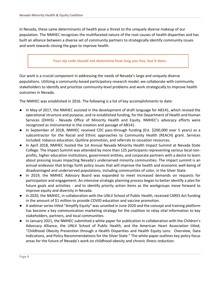In Nevada, these same determinants of health pose a threat to the uniquely diverse makeup of our population. The NMHEC recognizes the multifaceted nature of the root causes of health disparities and has built an alliance between a diverse set of community partners to strategically identify community issues and work towards closing the gaps to improve health.

#### **Your zip code should not determine how long you live, but it does.**

Our work is a crucial component in addressing the needs of Nevada's large and uniquely diverse populations. Utilizing a community-based participatory research model, we collaborate with community stakeholders to identify and prioritize community-level problems and work strategically to improve health outcomes in Nevada.

The NMHEC was established in 2016. The following is a list of key accomplishments to date:

- In May of 2017, the NMHEC assisted in the development of draft language for AB141, which revised the operational structure and purpose, and re-established funding, for the Department of Health and Human Services (DHHS) - Nevada Office of Minority Health and Equity. NMHEC's advocacy efforts were recognized as instrumental in the creation and passage of AB141.
- In September of 2018, NMHEC received CDC pass-through funding (Est. \$200,000 over 5 years) as a subcontractor for the Racial and Ethnic approaches to Community Health (REACH) grant. Services included: tobacco education, Quitline promotion, and referrals to cessation resources.
- In April 2018, NMHEC hosted the 1st Annual Nevada Minority Health Impact Summit at Nevada State College. The Impact Summit was attended by more than 125 participants representing various local nonprofits, higher education institutions, government entities, and corporate partners with a desire to learn about pressing issues impacting Nevada's underserved minority communities. The impact summit is an annual endeavor that brings forth policy issues that will improve the health and economic well-being of disadvantaged and underserved populations, including communities of color, in the Silver State.
- In 2019, the NMHEC Advisory Board was expanded to meet increased demands on requests for participation and engagement. An intensive strategic planning process began to better identify a plan for future goals and activities - and to identify priority action items as the workgroups move forward to improve equity and diversity in Nevada.
- In 2020, the NMHEC, in collaboration with the UNLV School of Public Health, received CARES Act funding in the amount of \$1 million to provide COVID education and vaccine promotion.
- A webinar series titled "Amplify Equity" was unveiled in June 2020 and the concept and training platform has become a key communication marketing strategy for the coalition to relay vital information to key stakeholders, partners, and local communities.
- In January 2021, the NMHEC submitted a white paper for publication in collaboration with the Children's Advocacy Alliance, the UNLV School of Public Health, and the American Heart Association titled, "Childhood Obesity Prevention through a Health Disparities and Health Equity Lens: Overview, Data Indications, and Policy Recommendations for the Silver State." The white paper outlines key policy focus areas for the future of Nevada's work on childhood obesity and chronic illness reduction.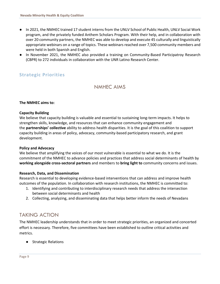- In 2021, the NMHEC trained 17 student interns from the UNLV School of Public Health, UNLV Social Work program, and the privately funded Anthem Scholars Program. With their help, and in collaboration with over 20 community partners, the NMHEC was able to develop and execute 45 culturally and linguistically appropriate webinars on a range of topics. These webinars reached over 7,500 community members and were held in both Spanish and English.
- In November 2021, the NMHEC also provided a training on Community-Based Participatroy Research (CBPR) to 272 individuals in collaboration with the UNR Latino Research Center.

# <span id="page-9-1"></span><span id="page-9-0"></span>**Strategic Priorities**

#### NMHEC AIMS

#### **The NMHEC aims to:**

#### **Capacity Building**

We believe that capacity building is valuable and essential to sustaining long-term impacts. It helps to strengthen skills, knowledge, and resources that can enhance community engagement and the **partnerships' collective** ability to address health disparities. It is the goal of this coalition to support capacity building in areas of policy, advocacy, community-based participatory research, and grant development.

#### **Policy and Advocacy**

We believe that amplifying the voices of our most vulnerable is essential to what we do. It is the commitment of the NMHEC to advance policies and practices that address social determinants of health by **working alongside cross-sectoral partners** and members to **bring light to** community concerns and issues.

#### **Research, Data, and Dissemination**

Research is essential to developing evidence-based interventions that can address and improve health outcomes of the population. In collaboration with research institutions, the NMHEC is committed to:

- 1. Identifying and contributing to interdisciplinary research needs that address the intersection between social determinants and health
- 2. Collecting, analyzing, and disseminating data that helps better inform the needs of Nevadans

# <span id="page-9-2"></span>TAKING ACTION

The NMHEC leadership understands that in order to meet strategic priorities, an organized and concerted effort is necessary. Therefore, five committees have been established to outline critical activities and metrics.

● Strategic Relations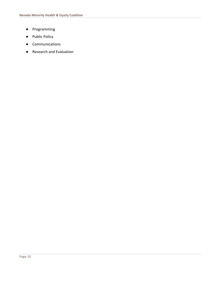- Programming
- Public Policy
- Communications
- Research and Evaluation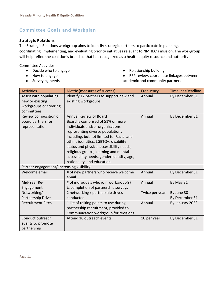# <span id="page-11-0"></span>**Committee Goals and Workplan**

#### <span id="page-11-1"></span>**Strategic Relations**

The Strategic Relations workgroup aims to identify strategic partners to participate in planning, coordinating, implementing, and evaluating priority initiatives relevant to NMHEC's mission. The workgroup will help refine the coalition's brand so that it is recognized as a health equity resource and authority

- Decide who to engage
- How to engage
- Surveying needs
- Relationship building
- RFP review, coordinate linkages between academic and community partners

| <b>Activities</b>                          | Metric (measures of success)                      | Frequency      | Timeline/Deadline |
|--------------------------------------------|---------------------------------------------------|----------------|-------------------|
| Assist with populating                     | Identify 12 partners to support new and<br>Annual |                | By December 31    |
| new or existing                            | existing workgroups                               |                |                   |
| workgroups or steering                     |                                                   |                |                   |
| committees                                 |                                                   |                |                   |
| Review composition of                      | <b>Annual Review of Board</b>                     | Annual         | By December 31    |
| board partners for                         | Board is comprised of 51% or more                 |                |                   |
| representation                             | individuals and/or organizations                  |                |                   |
|                                            | representing diverse populations                  |                |                   |
|                                            | including, but not limited to: Racial and         |                |                   |
|                                            | ethnic identities, LGBTQ+, disability             |                |                   |
|                                            | status and physical accessibility needs,          |                |                   |
|                                            | religious groups, learning and mental             |                |                   |
|                                            | accessibility needs, gender identity, age,        |                |                   |
|                                            | nationality, and education                        |                |                   |
| Partner engagement/ increasing visibility: |                                                   |                |                   |
| Welcome email                              | # of new partners who receive welcome             | Annual         | By December 31    |
|                                            | email                                             |                |                   |
| Mid-Year Re-                               | # of individuals who join workgroup(s)            | Annual         | By May 31         |
| Engagement                                 | % completion of partnership surveys               |                |                   |
| Networking/                                | 2 networking / partnership drives                 | Twice per year | By June 30        |
| Partnership Drive                          | conducted                                         |                | By December 31    |
| <b>Recruitment Pitch</b>                   | 1 list of talking points to use during            | Annual         | By January 2022   |
|                                            | partnership recruitment, provided to              |                |                   |
|                                            | Communication workgroup for revisions             |                |                   |
| Conduct outreach                           | Attend 10 outreach events                         | 10 per year    | By December 31    |
| events to promote                          |                                                   |                |                   |
| partnership                                |                                                   |                |                   |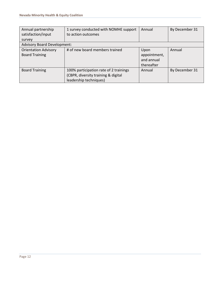| Annual partnership                 | 1 survey conducted with NOMHE support  | Annual       | By December 31 |
|------------------------------------|----------------------------------------|--------------|----------------|
| satisfaction/input                 | to action outcomes                     |              |                |
| survey                             |                                        |              |                |
| <b>Advisory Board Development:</b> |                                        |              |                |
| <b>Orientation Advisory</b>        | # of new board members trained         | Upon         | Annual         |
| <b>Board Training</b>              |                                        | appointment, |                |
|                                    |                                        | and annual   |                |
|                                    |                                        | thereafter   |                |
| <b>Board Training</b>              | 100% participation rate of 2 trainings | Annual       | By December 31 |
|                                    | (CBPR, diversity training & digital    |              |                |
|                                    | leadership techniques)                 |              |                |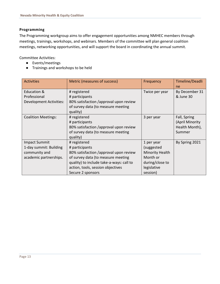#### <span id="page-13-0"></span>**Programming**

The Programming workgroup aims to offer engagement opportunities among NMHEC members through meetings, trainings, workshops, and webinars. Members of the committee will plan general coalition meetings, networking opportunities, and will support the board in coordinating the annual summit.

- Events/meetings
- Trainings and workshops to be held

| <b>Activities</b>                                                                         | Metric (measures of success)                                                                                                                                                                                         | Frequency                                                                                                    | Timeline/Deadli<br>ne                                       |
|-------------------------------------------------------------------------------------------|----------------------------------------------------------------------------------------------------------------------------------------------------------------------------------------------------------------------|--------------------------------------------------------------------------------------------------------------|-------------------------------------------------------------|
| <b>Education &amp;</b><br>Professional<br><b>Development Activities:</b>                  | # registered<br># participants<br>80% satisfaction /approval upon review<br>of survey data (to measure meeting<br>quality)                                                                                           | Twice per year                                                                                               | By December 31<br>& June 30                                 |
| <b>Coalition Meetings:</b>                                                                | # registered<br># participants<br>80% satisfaction /approval upon review<br>of survey data (to measure meeting<br>quality)                                                                                           | 3 per year                                                                                                   | Fall, Spring<br>(April Minority<br>Health Month),<br>Summer |
| <b>Impact Summit</b><br>1-day summit: Building<br>community and<br>academic partnerships. | # registered<br># participants<br>80% satisfaction /approval upon review<br>of survey data (to measure meeting<br>quality) to include take-a-ways: call to<br>action, tools, session objectives<br>Secure 2 sponsors | 1 per year<br>(suggested<br><b>Minority Health</b><br>Month or<br>during/close to<br>legislative<br>session) | By Spring 2021                                              |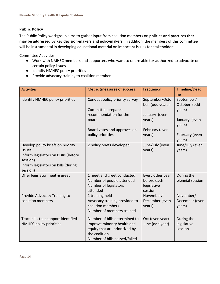#### <span id="page-14-0"></span>**Public Policy**

The Public Policy workgroup aims to gather input from coalition members on **policies and practices that may be addressed by key decision-makers and policymakers**. In addition, the members of this committee will be instrumental in developing educational material on important issues for stakeholders.

- Work with NMHEC members and supporters who want to or are able to/ authorized to advocate on certain policy issues
- Identify NMHEC policy priorities
- Provide advocacy training to coalition members

| <b>Activities</b>                                                                                                                                | Metric (measures of success)                                                                                                                     | Frequency                                                                                | Timeline/Deadli<br>ne                                                                       |
|--------------------------------------------------------------------------------------------------------------------------------------------------|--------------------------------------------------------------------------------------------------------------------------------------------------|------------------------------------------------------------------------------------------|---------------------------------------------------------------------------------------------|
| Identify NMHEC policy priorities                                                                                                                 | Conduct policy priority survey<br>Committee prepares<br>recommendation for the<br>board<br>Board votes and approves on<br>policy priorities      | September/Octo<br>ber (odd years)<br>January (even<br>years)<br>February (even<br>years) | September/<br>October (odd<br>years)<br>January (even<br>years)<br>February (even<br>years) |
| Develop policy briefs on priority<br>issues<br>Inform legislators on BDRs (before<br>session)<br>Inform legislators on bills (during<br>session) | 2 policy briefs developed                                                                                                                        | June/July (even<br>years)                                                                | June/July (even<br>years)                                                                   |
| Offer legislator meet & greet                                                                                                                    | 1 meet and greet conducted<br>Number of people attended<br>Number of legislators<br>attended                                                     | Every other year<br>before each<br>legislative<br>session                                | During the<br>biennial session                                                              |
| Provide Advocacy Training to<br>coalition members                                                                                                | 1 training held<br>Advocacy training provided to<br>coalition members<br>Number of members trained                                               | November/<br>December (even<br>years)                                                    | November/<br>December (even<br>years)                                                       |
| Track bills that support identified<br>NMHEC policy priorities.                                                                                  | Number of bills determined to<br>improve minority health and<br>equity that are prioritized by<br>the coalition<br>Number of bills passed/failed | Oct (even year)-<br>June (odd year)                                                      | During the<br>legislative<br>session                                                        |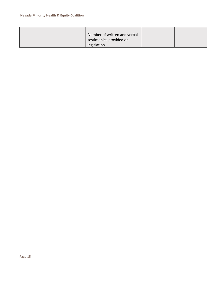<span id="page-15-0"></span>

| Number of written and verbal |  |
|------------------------------|--|
| testimonies provided on      |  |
| legislation                  |  |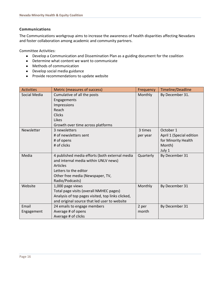#### **Communications**

The Communications workgroup aims to increase the awareness of health disparities affecting Nevadans and foster collaboration among academic and community partners.

- Develop a Communication and Dissemination Plan as a guiding document for the coalition
- Determine what content we want to communicate
- Methods of communication
- Develop social media guidance
- Provide recommendations to update website

| <b>Activities</b> | Metric (measures of success)                      | Frequency | Timeline/Deadline        |
|-------------------|---------------------------------------------------|-----------|--------------------------|
| Social Media      | Cumulative of all the posts                       | Monthly   | By December 31.          |
|                   | Engagements                                       |           |                          |
|                   | Impressions                                       |           |                          |
|                   | Reach                                             |           |                          |
|                   | <b>Clicks</b>                                     |           |                          |
|                   | Likes                                             |           |                          |
|                   | Growth over time across platforms                 |           |                          |
| Newsletter        | 3 newsletters                                     | 3 times   | October 1                |
|                   | # of newsletters sent                             | per year  | April 1 (Special edition |
|                   | # of opens                                        |           | for Minority Health      |
|                   | # of clicks                                       |           | Month)                   |
|                   |                                                   |           | July 1                   |
| Media             | 4 published media efforts (both external media    | Quarterly | By December 31           |
|                   | and internal media within UNLV news)              |           |                          |
|                   | <b>Articles</b>                                   |           |                          |
|                   | Letters to the editor                             |           |                          |
|                   | Other free media (Newspaper, TV,                  |           |                          |
|                   | Radio/Podcasts)                                   |           |                          |
| Website           | 1,000 page views                                  | Monthly   | By December 31           |
|                   | Total page visits (overall NMHEC pages)           |           |                          |
|                   | Analysis of top pages visited, top links clicked, |           |                          |
|                   | and original source that led user to website      |           |                          |
| Email             | 24 emails to engage members                       | 2 per     | By December 31           |
| Engagement        | Average # of opens                                | month     |                          |
|                   | Average # of clicks                               |           |                          |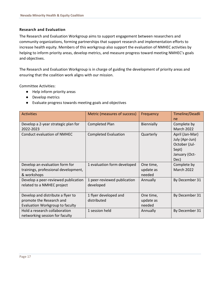#### <span id="page-17-0"></span>**Research and Evaluation**

The Research and Evaluation Workgroup aims to support engagement between researchers and community organizations, forming partnerships that support research and implementation efforts to increase health equity. Members of this workgroup also support the evaluation of NMHEC activities by helping to inform priority areas, develop metrics, and measure progress toward meeting NMHEC's goals and objectives.

The Research and Evaluation Workgroup is in charge of guiding the development of priority areas and ensuring that the coalition work aligns with our mission.

- Help inform priority areas
- Develop metrics
- Evaluate progress towards meeting goals and objectives

| <b>Activities</b>                                                                                | Metric (measures of success)             | Frequency                        | Timeline/Deadli<br>ne                                                                |
|--------------------------------------------------------------------------------------------------|------------------------------------------|----------------------------------|--------------------------------------------------------------------------------------|
| Develop a 2-year strategic plan for<br>2022-2023                                                 | Completed Plan                           | Biennially                       | Complete by<br><b>March 2022</b>                                                     |
| <b>Conduct evaluation of NMHEC</b>                                                               | <b>Completed Evaluation</b>              | Quarterly                        | April (Jan-Mar)<br>July (Apr-Jun)<br>October (Jul-<br>Sept)<br>January (Oct-<br>Dec) |
| Develop an evaluation form for<br>trainings, professional development,<br>& workshops            | 1 evaluation form developed              | One time,<br>update as<br>needed | Complete by<br><b>March 2022</b>                                                     |
| Develop a peer-reviewed publication<br>related to a NMHEC project                                | 1 peer-reviewed publication<br>developed | Annually                         | By December 31                                                                       |
| Develop and distribute a flyer to<br>promote the Research and<br>Evaluation Workgroup to faculty | 1 flyer developed and<br>distributed     | One time,<br>update as<br>needed | By December 31                                                                       |
| Hold a research collaboration<br>networking session for faculty                                  | 1 session held                           | Annually                         | By December 31                                                                       |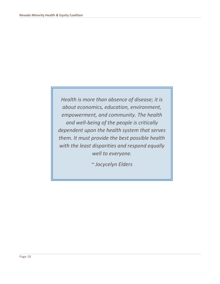*Health is more than absence of disease; it is about economics, education, environment, empowerment, and community. The health and well-being of the people is critically dependent upon the health system that serves them. It must provide the best possible health with the least disparities and respond equally well to everyone.*

*~ Jocycelyn Elders*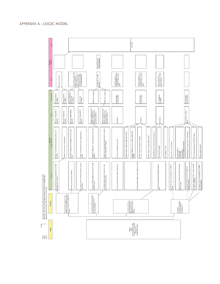

#### <span id="page-19-0"></span>APPENDIX A : LOGIC MODEL